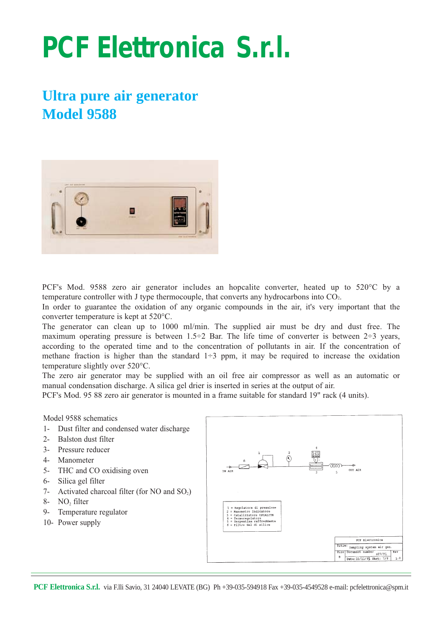# **PCF Elettronica S.r.l.**

# **Ultra pure air generator Model 9588**



PCF's Mod. 9588 zero air generator includes an hopcalite converter, heated up to 520°C by a temperature controller with J type thermocouple, that converts any hydrocarbons into CO2.

In order to guarantee the oxidation of any organic compounds in the air, it's very important that the converter temperature is kept at 520°C.

The generator can clean up to 1000 ml/min. The supplied air must be dry and dust free. The maximum operating pressure is between  $1.5\div 2$  Bar. The life time of converter is between  $2\div 3$  years, according to the operated time and to the concentration of pollutants in air. If the concentration of methane fraction is higher than the standard  $1\div 3$  ppm, it may be required to increase the oxidation temperature slightly over 520°C.

The zero air generator may be supplied with an oil free air compressor as well as an automatic or manual condensation discharge. A silica gel drier is inserted in series at the output of air.

PCF's Mod. 95 88 zero air generator is mounted in a frame suitable for standard 19" rack (4 units).

#### Model 9588 schematics

- 1- Dust filter and condensed water discharge
- 2- Balston dust filter
- 3- Pressure reducer
- 4- Manometer
- 5- THC and CO oxidising oven
- 6- Silica gel filter
- 7- Activated charcoal filter (for NO and SO<sub>2</sub>)
- 8- NO<sub>2</sub> filter
- 9- Temperature regulator
- 10- Power supply